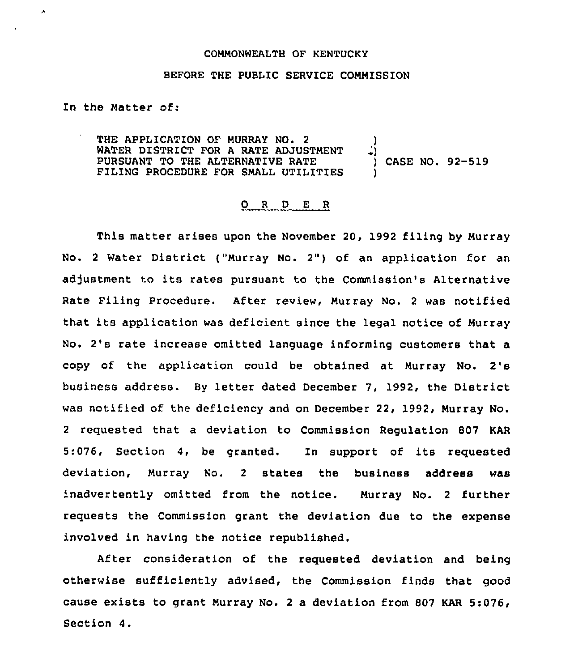## COMMONWEALTH OF KENTUCKY

## BEFORE THE PUBLIC SERVICE COMMISSION

In the Matter of:

 $\lambda$ 

THE APPLICATION OF MURRAY NO. 2 WATER DISTRICT FOR A RATE ADJUSTMENT PURSUANT TO THE ALTERNATIVE RATE ) CASE NO. 92-519 FILING PROCEDURE FOR SMALL UTILITIES

## 0 <sup>R</sup> <sup>D</sup> E <sup>R</sup>

This matter arises upon the November 20, 1992 filing by Murray No. <sup>2</sup> Water District ("Murray No. 2") of an application for an adjustment to its rates pursuant to the Commission's Alternative Rate Filing Procedure. After review, Murray No. <sup>2</sup> was notified that its application was deficient since the legal notice of Murray No. 2's rate increase omitted language informing customers that a copy of the application could be obtained at Murray No. 2's business address. By letter dated December 7, 1992, the District was notified of the deficiency and on December 22, 1992, Murray No. <sup>2</sup> requested that a deviation to Commission Regulation 807 KAR 5:076, Section 4, be granted. In support of its requested deviation, Murray No. <sup>2</sup> states the business address was inadvertently omitted from the notice. Murray No. <sup>2</sup> further requests the Commission grant the deviation due to the expense involved in having the notice republished.

After consideration of the requested deviation and being otherwise sufficiently advised, the Commission finds that good cause exists to grant Murray No. <sup>2</sup> a deviation from 807 KAR 5:076, Section 4.